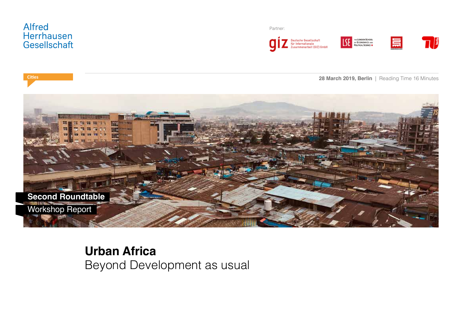

Partner:







**28 March 2019, Berlin** | Reading Time 16 Minutes **Cities**



**Urban Africa** Beyond Development as usual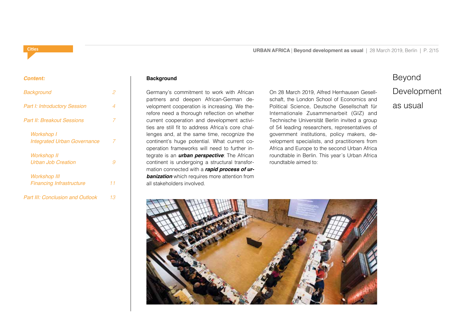#### **Cities**

*Content:*

# *Background 2 Part I: Introductory Session 4 Part II: Breakout Sessions 7 Workshop I Integrated Urban Governance 7 Workshop II Urban Job Creation 9 Workshop III Financing Infrastructure 11 Part III: Conclusion and Outlook 13*

#### **Background**

Germany's commitment to work with African partners and deepen African-German development cooperation is increasing. We therefore need a thorough reflection on whether current cooperation and development activities are still fit to address Africa's core challenges and, at the same time, recognize the continent's huge potential. What current cooperation frameworks will need to further integrate is an *urban perspective*: The African continent is undergoing a structural transformation connected with a *rapid process of ur***banization** which requires more attention from all stakeholders involved.

On 28 March 2019, Alfred Herrhausen Gesellschaft, the London School of Economics and Political Science, Deutsche Gesellschaft für Internationale Zusammenarbeit (GIZ) and Technische Universität Berlin invited a group of 54 leading researchers, representatives of government institutions, policy makers, development specialists, and practitioners from Africa and Europe to the second Urban Africa roundtable in Berlin. This year´s Urban Africa roundtable aimed to:

## Beyond

## Development

as usual

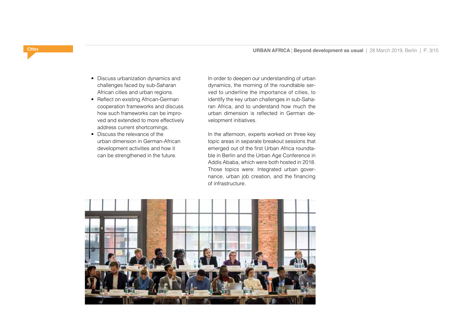- Discuss urbanization dynamics and challenges faced by sub-Saharan African cities and urban regions.
- Reflect on existing African-German cooperation frameworks and discuss how such frameworks can be improved and extended to more effectively address current shortcomings.
- Discuss the relevance of the urban dimension in German-African development activities and how it can be strengthened in the future.

In order to deepen our understanding of urban dynamics, the morning of the roundtable served to underline the importance of cities, to identify the key urban challenges in sub-Saharan Africa, and to understand how much the urban dimension is reflected in German development initiatives.

In the afternoon, experts worked on three key topic areas in separate breakout sessions that emerged out of the first Urban Africa roundtable in Berlin and the Urban Age Conference in Addis Ababa, which were both hosted in 2018. Those topics were: Integrated urban governance, urban job creation, and the financing of infrastructure.

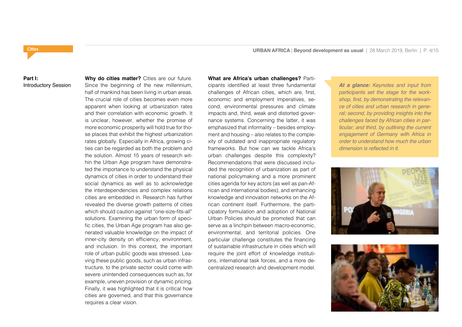#### **Part I:**  Introductory Session

**Cities**

Since the beginning of the new millennium, half of mankind has been living in urban areas. The crucial role of cities becomes even more apparent when looking at urbanization rates and their correlation with economic growth. It is unclear, however, whether the promise of more economic prosperity will hold true for those places that exhibit the highest urbanization rates globally. Especially in Africa, growing cities can be regarded as both the problem and the solution. Almost 15 years of research within the Urban Age program have demonstrated the importance to understand the physical dynamics of cities in order to understand their social dynamics as well as to acknowledge the interdependencies and complex relations cities are embedded in. Research has further revealed the diverse growth patterns of cities which should caution against "one-size-fits-all" solutions. Examining the urban form of specific cities, the Urban Age program has also generated valuable knowledge on the impact of inner-city density on efficiency, environment, and inclusion. In this context, the important role of urban public goods was stressed. Leaving these public goods, such as urban infrastructure, to the private sector could come with severe unintended consequences such as, for example, uneven provision or dynamic pricing. Finally, it was highlighted that it is critical how cities are governed, and that this governance requires a clear vision.

**Why do cities matter?** Cities are our future.

**What are Africa's urban challenges?** Participants identified at least three fundamental challenges of African cities, which are, first, economic and employment imperatives, second, environmental pressures and climate impacts and, third, weak and distorted governance systems. Concerning the latter, it was emphasized that informality – besides employment and housing – also relates to the complexity of outdated and inappropriate regulatory frameworks. But how can we tackle Africa's urban challenges despite this complexity? Recommendations that were discussed included the recognition of urbanization as part of national policymaking and a more prominent cities agenda for key actors (as well as pan-African and international bodies), and enhancing knowledge and innovation networks on the African continent itself. Furthermore, the participatory formulation and adoption of National Urban Policies should be promoted that can serve as a linchpin between macro-economic, environmental, and territorial policies. One particular challenge constitutes the financing of sustainable infrastructure in cities which will require the joint effort of knowledge institutions, international task forces, and a more decentralized research and development model.

*At a glance: Keynotes and input from participants set the stage for the work*shop, first, by demonstrating the relevan*ce of cities and urban research in general; second, by providing insights into the challenges faced by African cities in particular; and third, by outlining the current engagement of Germany with Africa in order to understand how much the urban*  dimension is reflected in it.



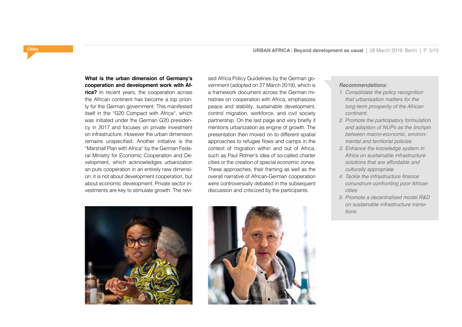**What is the urban dimension of Germany's cooperation and development work with Af-**

**rica?** In recent years, the cooperation across the African continent has become a top priority for the German government. This manifested itself in the "G20 Compact with Africa", which was initiated under the German G20 presidency in 2017 and focuses on private investment on infrastructure. However the urban dimension remains unspecified. Another initiative is the "Marshall Plan with Africa" by the German Federal Ministry for Economic Cooperation and Development, which acknowledges urbanization an puts cooperation in an entirely new dimension: it is not about development cooperation, but about economic development. Private sector investments are key to stimulate growth. The revised Africa Policy Guidelines by the German government (adopted on 27 March 2019), which is a framework document across the German ministries on cooperation with Africa, emphasizes peace and stability, sustainable development, control migration, workforce, and civil society partnership. On the last page and very briefly it mentions urbanization as engine of growth. The presentation then moved on to different spatial approaches to refugee flows and camps in the context of migration within and out of Africa, such as Paul Romer's idea of so-called charter cities or the creation of special economic zones. These approaches, their framing as well as the overall narrative of African-German cooperation were controversially debated in the subsequent discussion and criticized by the participants.





#### *Recommendations:*

- 1. *Consolidate the policy recognition that urbanisation matters for the long-term prosperity of the African*  continent.
- 2. *Promote the participatory formulation and adoption of NUPs as the linchpin between macro-economic, environmental and territorial policies*
- 3. *Enhance the knowledge system in Africa on sustainable infrastructure solutions that are affordable and culturally appropriate*
- 4. Tackle the infrastructure finance *conundrum confronting poor African cities*
- 5. *Promote a decentralised model R&D on sustainable infrastructure transitions*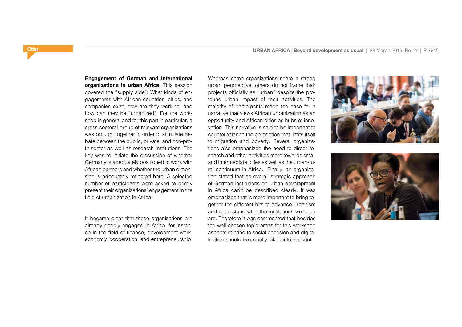**Engagement of German and international organizations in urban Africa:** This session covered the "supply side": What kinds of engagements with African countries, cities, and companies exist, how are they working, and how can they be "urbanized". For the workshop in general and for this part in particular, a cross-sectoral group of relevant organizations was brought together in order to stimulate debate between the public, private, and non-profit sector as well as research institutions. The key was to initiate the discussion of whether Germany is adequately positioned to work with African partners and whether the urban dimension is adequately reflected here. A selected number of participants were asked to briefly present their organizations' engagement in the field of urbanization in Africa.

It became clear that these organizations are already deeply engaged in Africa, for instance in the field of finance, development work, economic cooperation, and entrepreneurship.

Whereas some organizations share a strong urban perspective, others do not frame their projects officially as "urban" despite the profound urban impact of their activities. The majority of participants made the case for a narrative that views African urbanization as an opportunity and African cities as hubs of innovation. This narrative is said to be important to counterbalance the perception that limits itself to migration and poverty. Several organizations also emphasized the need to direct research and other activities more towards small and intermediate cities as well as the urban-rural continuum in Africa. Finally, an organization stated that an overall strategic approach of German institutions on urban development in Africa can´t be described clearly. It was emphasized that is more important to bring together the different bits to advance urbanism and understand what the institutions we need are. Therefore it was commented that besides the well-chosen topic areas for this workshop aspects relating to social cohesion and digitalization should be equally taken into account.



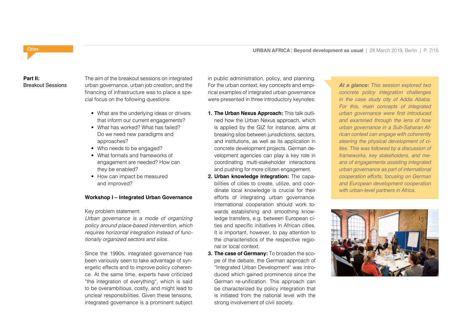# **Part II:**

The aim of the breakout sessions on integrated Breakout Sessions urban governance, urban job creation, and the For the urban context, key concepts and empi-**At a glance:** This session explored two financing of infrastructure was to place a special focus on the following questions:

- What are the underlying ideas or drivers that inform our current engagements?
- What has worked? What has failed? Do we need new paradigms and approaches?
- Who needs to be engaged?
- What formats and frameworks of engagement are needed? How can they be enabled?
- How can impact be measured and improved?

### **Workshop I – Integrated Urban Governance**

Key problem statement:

*Urban governance is a mode of organizing policy around place-based intervention, which requires horizontal integration instead of functionally organized sectors and silos.*

Since the 1990s, integrated governance has been variously seen to take advantage of synergetic effects and to improve policy coherence. At the same time, experts have criticized "the integration of everything", which is said to be overambitious, costly, and might lead to unclear responsibilities. Given these tensions, integrated governance is a prominent subject in public administration, policy, and planning. For the urban context, key concepts and empirical examples of integrated urban governance were presented in three introductory keynotes:

- **1. The Urban Nexus Approach:** This talk outlined how the Urban Nexus approach, which is applied by the GIZ for instance, aims at breaking silos between jurisdictions, sectors, and institutions, as well as its application in concrete development projects. German development agencies can play a key role in coordinating multi-stakeholder interactions and pushing for more citizen engagement.
- **2. Urban knowledge integration:** The capabilities of cities to create, utilize, and coordinate local knowledge is crucial for their efforts of integrating urban governance. International cooperation should work towards establishing and smoothing knowledge transfers, e.g. between European cities and specific initiatives in African cities. It is important, however, to pay attention to the characteristics of the respective regional or local context.
- **3. The case of Germany:** To broaden the scope of the debate, the German approach of "Integrated Urban Development" was introduced which gained prominence since the German re-unification. This approach can be characterized by policy integration that is initiated from the national level with the strong involvement of civil society.

*concrete policy integration challenges*  in the case study city of Addis Ababa. *For this, main concepts of integrated*  urban governance were first introduced *and examined through the lens of how urban governance in a Sub-Saharan African context can engage with coherently steering the physical development of ci*ties. This was followed by a discussion of *frameworks, key stakeholders, and means of engagements assisting integrated urban governance as part of international cooperation efforts, focusing on German and European development cooperation*  with urban-level partners in Africa.

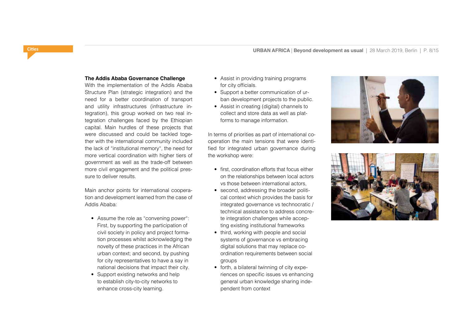#### **The Addis Ababa Governance Challenge**

With the implementation of the Addis Ababa Structure Plan (strategic integration) and the need for a better coordination of transport and utility infrastructures (infrastructure integration), this group worked on two real integration challenges faced by the Ethiopian capital. Main hurdles of these projects that were discussed and could be tackled together with the international community included the lack of "institutional memory", the need for more vertical coordination with higher tiers of government as well as the trade-off between more civil engagement and the political pressure to deliver results.

Main anchor points for international cooperation and development learned from the case of Addis Ababa:

- Assume the role as "convening power": First, by supporting the participation of civil society in policy and project formation processes whilst acknowledging the novelty of these practices in the African urban context; and second, by pushing for city representatives to have a say in national decisions that impact their city.
- Support existing networks and help to establish city-to-city networks to enhance cross-city learning.
- Assist in providing training programs for city officials.
- Support a better communication of urban development projects to the public.
- Assist in creating (digital) channels to collect and store data as well as platforms to manage information.

In terms of priorities as part of international cooperation the main tensions that were identified for integrated urban governance during the workshop were:

- first, coordination efforts that focus either on the relationships between local actors vs those between international actors,
- second, addressing the broader political context which provides the basis for integrated governance vs technocratic / technical assistance to address concrete integration challenges while accepting existing institutional frameworks
- third, working with people and social systems of governance vs embracing digital solutions that may replace coordination requirements between social groups
- forth, a bilateral twinning of city experiences on specific issues vs enhancing general urban knowledge sharing independent from context



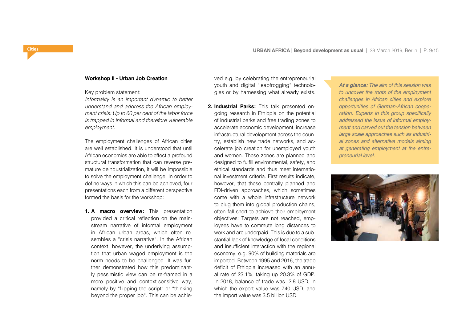#### **Workshop II - Urban Job Creation**

Key problem statement:

*Informality is an important dynamic to better understand and address the African employment crisis: Up to 60 per cent of the labor force is trapped in informal and therefore vulnerable employment.*

The employment challenges of African cities are well established. It is understood that until African economies are able to effect a profound structural transformation that can reverse premature deindustrialization, it will be impossible to solve the employment challenge. In order to define ways in which this can be achieved, four presentations each from a different perspective formed the basis for the workshop:

**1. A macro overview:** This presentation provided a critical reflection on the mainstream narrative of informal employment in African urban areas, which often resembles a "crisis narrative". In the African context, however, the underlying assumption that urban waged employment is the norm needs to be challenged. It was further demonstrated how this predominantly pessimistic view can be re-framed in a more positive and context-sensitive way, namely by "flipping the script" or "thinking beyond the proper job". This can be achieved e.g. by celebrating the entrepreneurial youth and digital "leapfrogging" technologies or by harnessing what already exists.

**2. Industrial Parks:** This talk presented ongoing research in Ethiopia on the potential of industrial parks and free trading zones to accelerate economic development, increase infrastructural development across the country, establish new trade networks, and accelerate job creation for unemployed youth and women. These zones are planned and designed to fulfill environmental, safety, and ethical standards and thus meet international investment criteria. First results indicate, however, that these centrally planned and FDI-driven approaches, which sometimes come with a whole infrastructure network to plug them into global production chains, often fall short to achieve their employment objectives: Targets are not reached, employees have to commute long distances to work and are underpaid. This is due to a substantial lack of knowledge of local conditions and insufficient interaction with the regional economy, e.g. 90% of building materials are imported. Between 1995 and 2016, the trade deficit of Ethiopia increased with an annual rate of 23.1%, taking up 20.3% of GDP. In 2018, balance of trade was -2.8 USD, in which the export value was 740 USD, and the import value was 3.5 billion USD.

*At a glance: The aim of this session was to uncover the roots of the employment challenges in African cities and explore opportunities of German-African coope*ration. Experts in this group specifically *addressed the issue of informal employment and carved out the tension between large scale approaches such as industrial zones and alternative models aiming at generating employment at the entre*preneurial level.

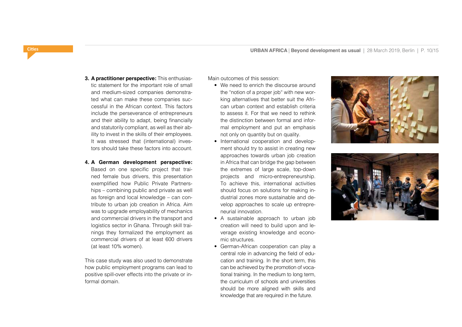#### **3. A practitioner perspective:** This enthusias-

tic statement for the important role of small and medium-sized companies demonstrated what can make these companies successful in the African context. This factors include the perseverance of entrepreneurs and their ability to adapt, being financially and statutorily compliant, as well as their ability to invest in the skills of their employees. It was stressed that (international) investors should take these factors into account.

#### **4. A German development perspective:**

Based on one specific project that trained female bus drivers, this presentation exemplified how Public Private Partnerships – combining public and private as well as foreign and local knowledge – can contribute to urban job creation in Africa. Aim was to upgrade employability of mechanics and commercial drivers in the transport and logistics sector in Ghana. Through skill trainings they formalized the employment as commercial drivers of at least 600 drivers (at least 10% women).

This case study was also used to demonstrate how public employment programs can lead to positive spill-over effects into the private or informal domain.

Main outcomes of this session:

- We need to enrich the discourse around the "notion of a proper job" with new working alternatives that better suit the African urban context and establish criteria to assess it. For that we need to rethink the distinction between formal and informal employment and put an emphasis not only on quantity but on quality.
- International cooperation and development should try to assist in creating new approaches towards urban job creation in Africa that can bridge the gap between the extremes of large scale, top-down projects and micro-entrepreneurship. To achieve this, international activities should focus on solutions for making industrial zones more sustainable and develop approaches to scale up entrepreneurial innovation.
- A sustainable approach to urban job creation will need to build upon and leverage existing knowledge and economic structures.
- German-African cooperation can play a central role in advancing the field of education and training. In the short term, this can be achieved by the promotion of vocational training. In the medium to long term, the curriculum of schools and universities should be more aligned with skills and knowledge that are required in the future.



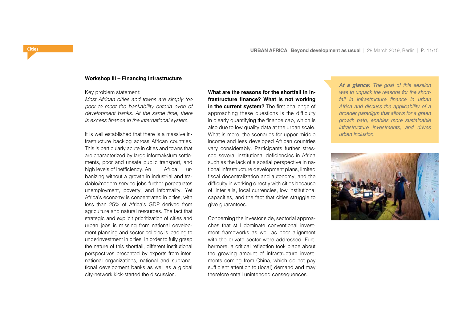#### **Workshop III – Financing Infrastructure**

Key problem statement:

*Most African cities and towns are simply too poor to meet the bankability criteria even of development banks. At the same time, there*  is excess finance in the international system.

It is well established that there is a massive infrastructure backlog across African countries. This is particularly acute in cities and towns that are characterized by large informal/slum settlements, poor and unsafe public transport, and high levels of inefficiency. An Africa urbanizing without a growth in industrial and tradable/modern service jobs further perpetuates unemployment, poverty, and informality. Yet Africa's economy is concentrated in cities, with less than 25% of Africa's GDP derived from agriculture and natural resources. The fact that strategic and explicit prioritization of cities and urban jobs is missing from national development planning and sector policies is leading to underinvestment in cities. In order to fully grasp the nature of this shortfall, different institutional perspectives presented by experts from international organizations, national and supranational development banks as well as a global city-network kick-started the discussion.

**What are the reasons for the shortfall in infrastructure finance? What is not working in the current system?** The first challenge of approaching these questions is the difficulty in clearly quantifying the finance cap, which is also due to low quality data at the urban scale. What is more, the scenarios for upper middle income and less developed African countries vary considerably. Participants further stressed several institutional deficiencies in Africa such as the lack of a spatial perspective in national infrastructure development plans, limited fiscal decentralization and autonomy, and the difficulty in working directly with cities because of, inter alia, local currencies, low institutional capacities, and the fact that cities struggle to give guarantees.

Concerning the investor side, sectorial approaches that still dominate conventional investment frameworks as well as poor alignment with the private sector were addressed. Furthermore, a critical reflection took place about the growing amount of infrastructure investments coming from China, which do not pay sufficient attention to (local) demand and may therefore entail unintended consequences.

*At a glance: The goal of this session was to unpack the reasons for the short*fall in infrastructure finance in urban *Africa and discuss the applicability of a broader paradigm that allows for a green growth path, enables more sustainable infrastructure investments, and drives*  urban inclusion.

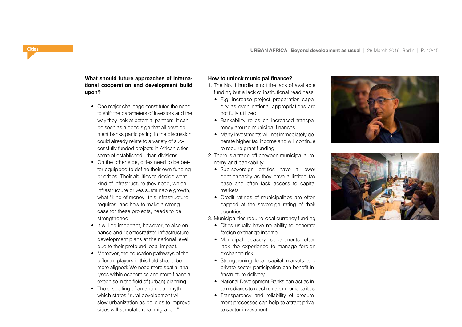### **What should future approaches of international cooperation and development build upon?**

- One major challenge constitutes the need to shift the parameters of investors and the way they look at potential partners. It can be seen as a good sign that all development banks participating in the discussion could already relate to a variety of successfully funded projects in African cities; some of established urban divisions.
- On the other side, cities need to be better equipped to define their own funding priorities: Their abilities to decide what kind of infrastructure they need, which infrastructure drives sustainable growth, what "kind of money" this infrastructure requires, and how to make a strong case for these projects, needs to be strengthened.
- It will be important, however, to also enhance and "democratize" infrastructure development plans at the national level due to their profound local impact.
- Moreover, the education pathways of the different players in this field should be more aligned: We need more spatial analyses within economics and more financial expertise in the field of (urban) planning.
- The dispelling of an anti-urban myth which states "rural development will slow urbanization as policies to improve cities will stimulate rural migration."

#### **How to unlock municipal finance?**

- 1. The No. 1 hurdle is not the lack of available funding but a lack of institutional readiness:
	- E.g. increase project preparation capacity as even national appropriations are not fully utilized
	- Bankability relies on increased transparency around municipal finances
	- Many investments will not immediately generate higher tax income and will continue to require grant funding
- 2. There is a trade-off between municipal autonomy and bankability
	- Sub-sovereign entities have a lower debt-capacity as they have a limited tax base and often lack access to capital markets
	- Credit ratings of municipalities are often capped at the sovereign rating of their countries

3. Municipalities require local currency funding

- Cities usually have no ability to generate foreign exchange income
- Municipal treasury departments often lack the experience to manage foreign exchange risk
- Strengthening local capital markets and private sector participation can benefit infrastructure delivery
- National Development Banks can act as intermediaries to reach smaller municipalities
- Transparency and reliability of procurement processes can help to attract private sector investment



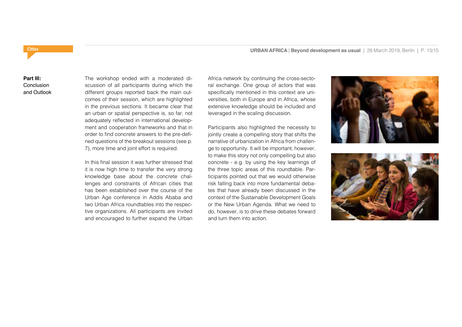### **Cities URBAN AFRICA | Beyond development as usual** | 28 March 2019, Berlin | P. 13/15

### **Part III: Conclusion** and Outlook

The workshop ended with a moderated discussion of all participants during which the different groups reported back the main outcomes of their session, which are highlighted in the previous sections. It became clear that an urban or spatial perspective is, so far, not adequately reflected in international development and cooperation frameworks and that in order to find concrete answers to the pre-defined questions of the breakout sessions (see p. 7), more time and joint effort is required.

In this final session it was further stressed that it is now high time to transfer the very strong knowledge base about the concrete challenges and constraints of African cities that has been established over the course of the Urban Age conference in Addis Ababa and two Urban Africa roundtables into the respective organizations. All participants are invited and encouraged to further expand the Urban

Africa network by continuing the cross-sectoral exchange. One group of actors that was specifically mentioned in this context are universities, both in Europe and in Africa, whose extensive knowledge should be included and leveraged in the scaling discussion.

Participants also highlighted the necessity to jointly create a compelling story that shifts the narrative of urbanization in Africa from challenge to opportunity. It will be important, however, to make this story not only compelling but also concrete - e.g. by using the key learnings of the three topic areas of this roundtable. Participants pointed out that we would otherwise risk falling back into more fundamental debates that have already been discussed in the context of the Sustainable Development Goals or the New Urban Agenda. What we need to do, however, is to drive these debates forward and turn them into action.



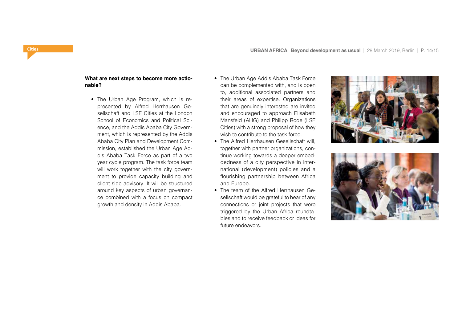#### **What are next steps to become more actionable?**

- The Urban Age Program, which is represented by Alfred Herrhausen Gesellschaft and LSE Cities at the London School of Economics and Political Science, and the Addis Ababa City Government, which is represented by the Addis Ababa City Plan and Development Commission, established the Urban Age Addis Ababa Task Force as part of a two year cycle program. The task force team will work together with the city government to provide capacity building and client side advisory. It will be structured around key aspects of urban governance combined with a focus on compact growth and density in Addis Ababa.
- The Urban Age Addis Ababa Task Force can be complemented with, and is open to, additional associated partners and their areas of expertise. Organizations that are genuinely interested are invited and encouraged to approach Elisabeth Mansfeld (AHG) and Philipp Rode (LSE Cities) with a strong proposal of how they wish to contribute to the task force.
- The Alfred Herrhausen Gesellschaft will, together with partner organizations, continue working towards a deeper embeddedness of a city perspective in international (development) policies and a flourishing partnership between Africa and Europe.
- The team of the Alfred Herrhausen Gesellschaft would be grateful to hear of any connections or joint projects that were triggered by the Urban Africa roundtables and to receive feedback or ideas for future endeavors.